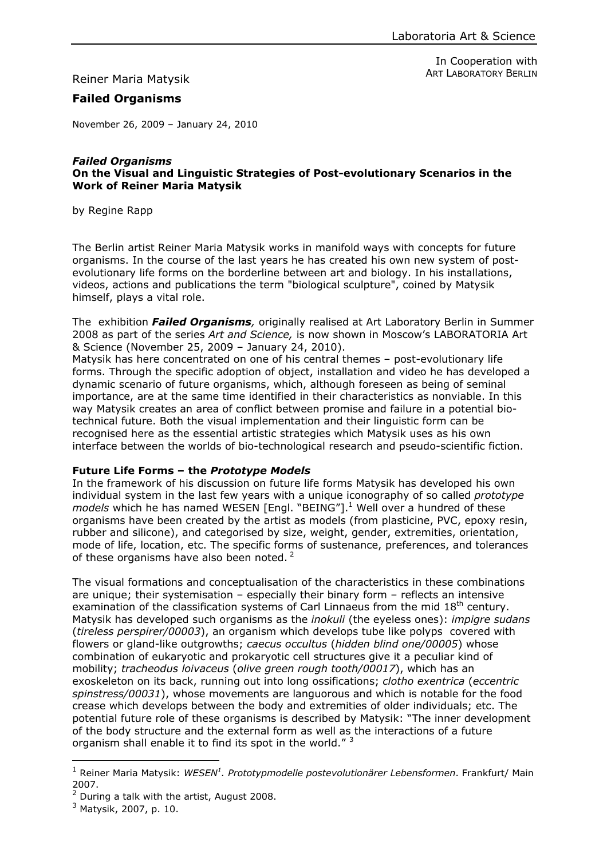Reiner Maria Matysik

In Cooperation with ART LABORATORY BERLIN

# **Failed Organisms**

November 26, 2009 – January 24, 2010

#### *Failed Organisms* **On the Visual and Linguistic Strategies of Post-evolutionary Scenarios in the Work of Reiner Maria Matysik**

by Regine Rapp

The Berlin artist Reiner Maria Matysik works in manifold ways with concepts for future organisms. In the course of the last years he has created his own new system of postevolutionary life forms on the borderline between art and biology. In his installations, videos, actions and publications the term "biological sculpture", coined by Matysik himself, plays a vital role.

The exhibition *Failed Organisms,* originally realised at Art Laboratory Berlin in Summer 2008 as part of the series *Art and Science,* is now shown in Moscow's LABORATORIA Art & Science (November 25, 2009 – January 24, 2010).

Matysik has here concentrated on one of his central themes – post-evolutionary life forms. Through the specific adoption of object, installation and video he has developed a dynamic scenario of future organisms, which, although foreseen as being of seminal importance, are at the same time identified in their characteristics as nonviable. In this way Matysik creates an area of conflict between promise and failure in a potential biotechnical future. Both the visual implementation and their linguistic form can be recognised here as the essential artistic strategies which Matysik uses as his own interface between the worlds of bio-technological research and pseudo-scientific fiction.

### **Future Life Forms – the** *Prototype Models*

In the framework of his discussion on future life forms Matysik has developed his own individual system in the last few years with a unique iconography of so called *prototype*  models which he has named WESEN [Engl. "BEING"].<sup>1</sup> Well over a hundred of these organisms have been created by the artist as models (from plasticine, PVC, epoxy resin, rubber and silicone), and categorised by size, weight, gender, extremities, orientation, mode of life, location, etc. The specific forms of sustenance, preferences, and tolerances of these organisms have also been noted.  $2^2$ 

The visual formations and conceptualisation of the characteristics in these combinations are unique; their systemisation – especially their binary form – reflects an intensive examination of the classification systems of Carl Linnaeus from the mid  $18<sup>th</sup>$  century. Matysik has developed such organisms as the *inokuli* (the eyeless ones): *impigre sudans*  (*tireless perspirer/00003*), an organism which develops tube like polyps covered with flowers or gland-like outgrowths; *caecus occultus* (*hidden blind one/00005*) whose combination of eukaryotic and prokaryotic cell structures give it a peculiar kind of mobility; *tracheodus loivaceus* (*olive green rough tooth/00017*), which has an exoskeleton on its back, running out into long ossifications; *clotho exentrica* (*eccentric spinstress/00031*), whose movements are languorous and which is notable for the food crease which develops between the body and extremities of older individuals; etc. The potential future role of these organisms is described by Matysik: "The inner development of the body structure and the external form as well as the interactions of a future organism shall enable it to find its spot in the world."<sup>[3](#page-0-2)</sup>

 $\overline{a}$ 

<span id="page-0-0"></span><sup>&</sup>lt;sup>1</sup> Reiner Maria Matysik: *WESEN<sup>1</sup>. Prototypmodelle postevolutionärer Lebensformen*. Frankfurt/ Main 2007.

<span id="page-0-1"></span> $2$  During a talk with the artist, August 2008.

<span id="page-0-2"></span><sup>&</sup>lt;sup>3</sup> Matysik, 2007, p. 10.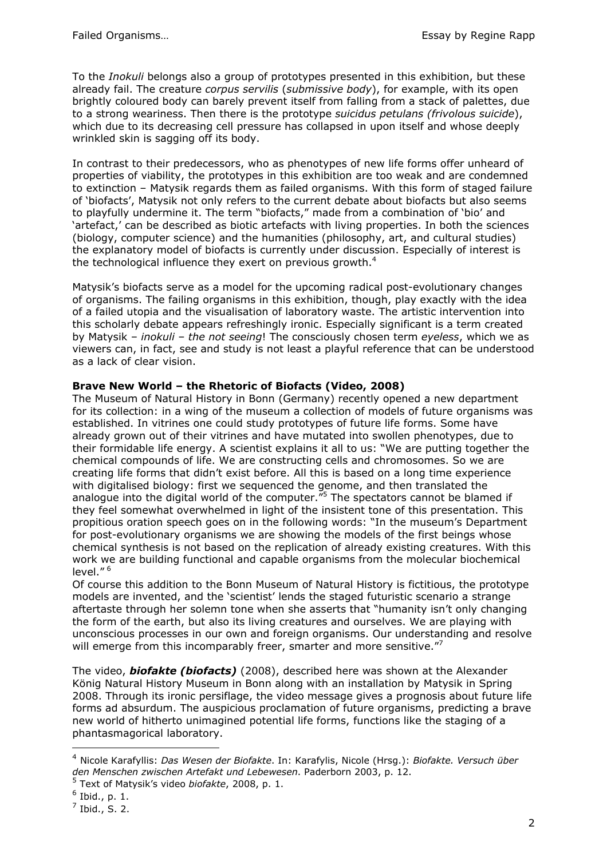To the *Inokuli* belongs also a group of prototypes presented in this exhibition, but these already fail. The creature *corpus servilis* (*submissive body*), for example, with its open brightly coloured body can barely prevent itself from falling from a stack of palettes, due to a strong weariness. Then there is the prototype *suicidus petulans (frivolous suicide*), which due to its decreasing cell pressure has collapsed in upon itself and whose deeply wrinkled skin is sagging off its body.

In contrast to their predecessors, who as phenotypes of new life forms offer unheard of properties of viability, the prototypes in this exhibition are too weak and are condemned to extinction – Matysik regards them as failed organisms. With this form of staged failure of 'biofacts', Matysik not only refers to the current debate about biofacts but also seems to playfully undermine it. The term "biofacts," made from a combination of 'bio' and 'artefact,' can be described as biotic artefacts with living properties. In both the sciences (biology, computer science) and the humanities (philosophy, art, and cultural studies) the explanatory model of biofacts is currently under discussion. Especially of interest is the technological influence they exert on previous growth.<sup>[4](#page-1-0)</sup>

Matysik's biofacts serve as a model for the upcoming radical post-evolutionary changes of organisms. The failing organisms in this exhibition, though, play exactly with the idea of a failed utopia and the visualisation of laboratory waste. The artistic intervention into this scholarly debate appears refreshingly ironic. Especially significant is a term created by Matysik – *inokuli* – *the not seeing*! The consciously chosen term *eyeless*, which we as viewers can, in fact, see and study is not least a playful reference that can be understood as a lack of clear vision.

### **Brave New World – the Rhetoric of Biofacts (Video, 2008)**

The Museum of Natural History in Bonn (Germany) recently opened a new department for its collection: in a wing of the museum a collection of models of future organisms was established. In vitrines one could study prototypes of future life forms. Some have already grown out of their vitrines and have mutated into swollen phenotypes, due to their formidable life energy. A scientist explains it all to us: "We are putting together the chemical compounds of life. We are constructing cells and chromosomes. So we are creating life forms that didn't exist before. All this is based on a long time experience with digitalised biology: first we sequenced the genome, and then translated the analogue into the digital world of the computer."<sup>[5](#page-1-1)</sup> The spectators cannot be blamed if they feel somewhat overwhelmed in light of the insistent tone of this presentation. This propitious oration speech goes on in the following words: "In the museum's Department for post-evolutionary organisms we are showing the models of the first beings whose chemical synthesis is not based on the replication of already existing creatures. With this work we are building functional and capable organisms from the molecular biochemical level." [6](#page-1-2)

Of course this addition to the Bonn Museum of Natural History is fictitious, the prototype models are invented, and the 'scientist' lends the staged futuristic scenario a strange aftertaste through her solemn tone when she asserts that "humanity isn't only changing the form of the earth, but also its living creatures and ourselves. We are playing with unconscious processes in our own and foreign organisms. Our understanding and resolve will emerge from this incomparably freer, smarter and more sensitive."

The video, *biofakte (biofacts)* (2008), described here was shown at the Alexander König Natural History Museum in Bonn along with an installation by Matysik in Spring 2008. Through its ironic persiflage, the video message gives a prognosis about future life forms ad absurdum. The auspicious proclamation of future organisms, predicting a brave new world of hitherto unimagined potential life forms, functions like the staging of a phantasmagorical laboratory.

 $\overline{a}$ 

<span id="page-1-0"></span><sup>4</sup> Nicole Karafyllis: *Das Wesen der Biofakte*. In: Karafylis, Nicole (Hrsg.): *Biofakte. Versuch über den Menschen zwischen Artefakt und Lebewesen*. Paderborn 2003, p. 12.

<span id="page-1-1"></span><sup>5</sup> Text of Matysik's video *biofakte*, 2008, p. 1.

<span id="page-1-2"></span> $^6$  Ibid., p. 1.

<span id="page-1-3"></span> $<sup>7</sup>$  Ibid., S. 2.</sup>